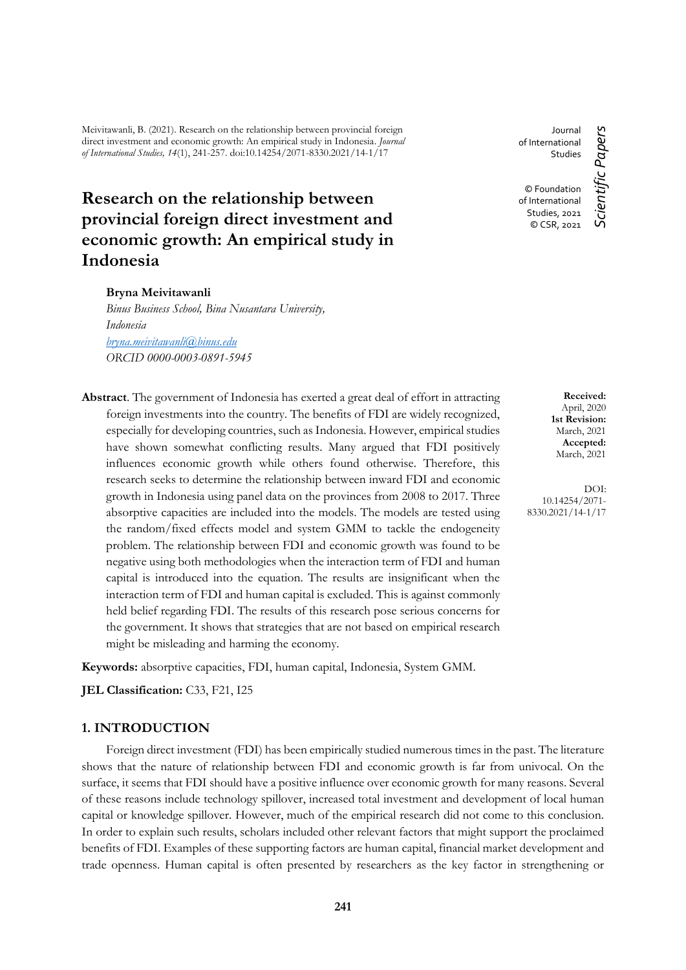Meivitawanli, B. (2021). Research on the relationship between provincial foreign direct investment and economic growth: An empirical study in Indonesia. *Journal of International Studies, 14*(1), 241-257. doi:10.14254/2071-8330.2021/14-1/17

# **Research on the relationship between provincial foreign direct investment and economic growth: An empirical study in Indonesia**

#### **Bryna Meivitawanli**

*Binus Business School, Bina Nusantara University, Indonesia [bryna.meivitawanli@binus.edu](mailto:bryna.meivitawanli@binus.edu) ORCID 0000-0003-0891-5945*

**Abstract**. The government of Indonesia has exerted a great deal of effort in attracting foreign investments into the country. The benefits of FDI are widely recognized, especially for developing countries, such as Indonesia. However, empirical studies have shown somewhat conflicting results. Many argued that FDI positively influences economic growth while others found otherwise. Therefore, this research seeks to determine the relationship between inward FDI and economic growth in Indonesia using panel data on the provinces from 2008 to 2017. Three absorptive capacities are included into the models. The models are tested using the random/fixed effects model and system GMM to tackle the endogeneity problem. The relationship between FDI and economic growth was found to be negative using both methodologies when the interaction term of FDI and human capital is introduced into the equation. The results are insignificant when the interaction term of FDI and human capital is excluded. This is against commonly held belief regarding FDI. The results of this research pose serious concerns for the government. It shows that strategies that are not based on empirical research might be misleading and harming the economy.

**Keywords:** absorptive capacities, FDI, human capital, Indonesia, System GMM.

**JEL Classification:** C33, F21, I25

# **1. INTRODUCTION**

Foreign direct investment (FDI) has been empirically studied numerous times in the past. The literature shows that the nature of relationship between FDI and economic growth is far from univocal. On the surface, it seems that FDI should have a positive influence over economic growth for many reasons. Several of these reasons include technology spillover, increased total investment and development of local human capital or knowledge spillover. However, much of the empirical research did not come to this conclusion. In order to explain such results, scholars included other relevant factors that might support the proclaimed benefits of FDI. Examples of these supporting factors are human capital, financial market development and trade openness. Human capital is often presented by researchers as the key factor in strengthening or

Journal of International **Studies** © Foundation of International

> Studies, 2021 © CSR, 2021

*Scientific Papers*

Scientific Papers

**Received:** April, 2020 **1st Revision:** March, 2021 **Accepted:** March, 2021

DOI: 10.14254/2071- 8330.2021/14-1/17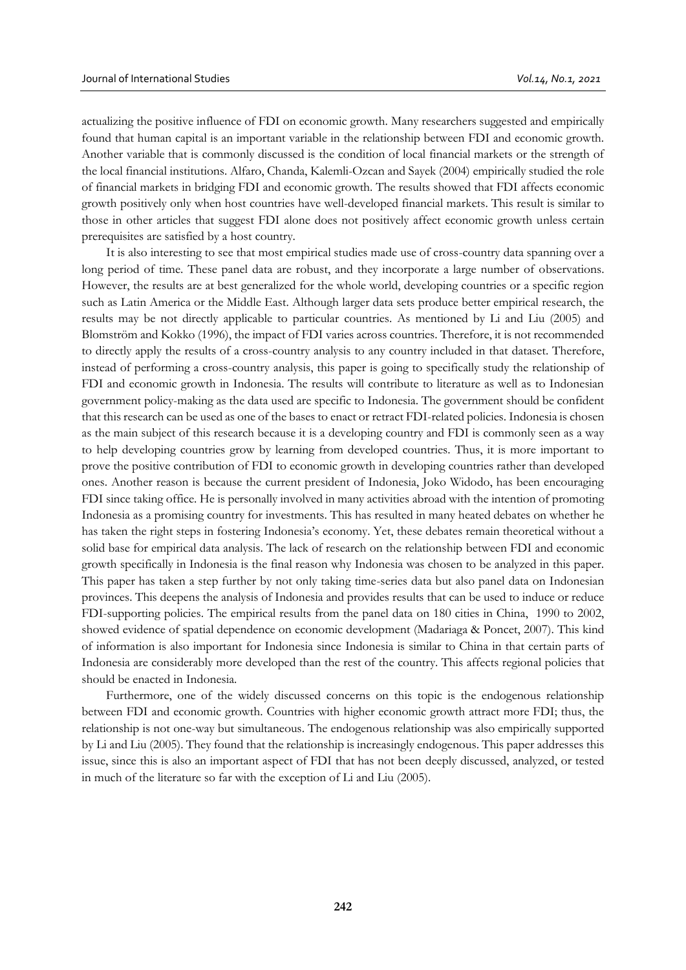actualizing the positive influence of FDI on economic growth. Many researchers suggested and empirically found that human capital is an important variable in the relationship between FDI and economic growth. Another variable that is commonly discussed is the condition of local financial markets or the strength of the local financial institutions. Alfaro, Chanda, Kalemli-Ozcan and Sayek (2004) empirically studied the role of financial markets in bridging FDI and economic growth. The results showed that FDI affects economic growth positively only when host countries have well-developed financial markets. This result is similar to those in other articles that suggest FDI alone does not positively affect economic growth unless certain prerequisites are satisfied by a host country.

It is also interesting to see that most empirical studies made use of cross-country data spanning over a long period of time. These panel data are robust, and they incorporate a large number of observations. However, the results are at best generalized for the whole world, developing countries or a specific region such as Latin America or the Middle East. Although larger data sets produce better empirical research, the results may be not directly applicable to particular countries. As mentioned by Li and Liu (2005) and Blomström and Kokko (1996), the impact of FDI varies across countries. Therefore, it is not recommended to directly apply the results of a cross-country analysis to any country included in that dataset. Therefore, instead of performing a cross-country analysis, this paper is going to specifically study the relationship of FDI and economic growth in Indonesia. The results will contribute to literature as well as to Indonesian government policy-making as the data used are specific to Indonesia. The government should be confident that this research can be used as one of the bases to enact or retract FDI-related policies. Indonesia is chosen as the main subject of this research because it is a developing country and FDI is commonly seen as a way to help developing countries grow by learning from developed countries. Thus, it is more important to prove the positive contribution of FDI to economic growth in developing countries rather than developed ones. Another reason is because the current president of Indonesia, Joko Widodo, has been encouraging FDI since taking office. He is personally involved in many activities abroad with the intention of promoting Indonesia as a promising country for investments. This has resulted in many heated debates on whether he has taken the right steps in fostering Indonesia's economy. Yet, these debates remain theoretical without a solid base for empirical data analysis. The lack of research on the relationship between FDI and economic growth specifically in Indonesia is the final reason why Indonesia was chosen to be analyzed in this paper. This paper has taken a step further by not only taking time-series data but also panel data on Indonesian provinces. This deepens the analysis of Indonesia and provides results that can be used to induce or reduce FDI-supporting policies. The empirical results from the panel data on 180 cities in China, 1990 to 2002, showed evidence of spatial dependence on economic development (Madariaga & Poncet, 2007). This kind of information is also important for Indonesia since Indonesia is similar to China in that certain parts of Indonesia are considerably more developed than the rest of the country. This affects regional policies that should be enacted in Indonesia.

Furthermore, one of the widely discussed concerns on this topic is the endogenous relationship between FDI and economic growth. Countries with higher economic growth attract more FDI; thus, the relationship is not one-way but simultaneous. The endogenous relationship was also empirically supported by Li and Liu (2005). They found that the relationship is increasingly endogenous. This paper addresses this issue, since this is also an important aspect of FDI that has not been deeply discussed, analyzed, or tested in much of the literature so far with the exception of Li and Liu (2005).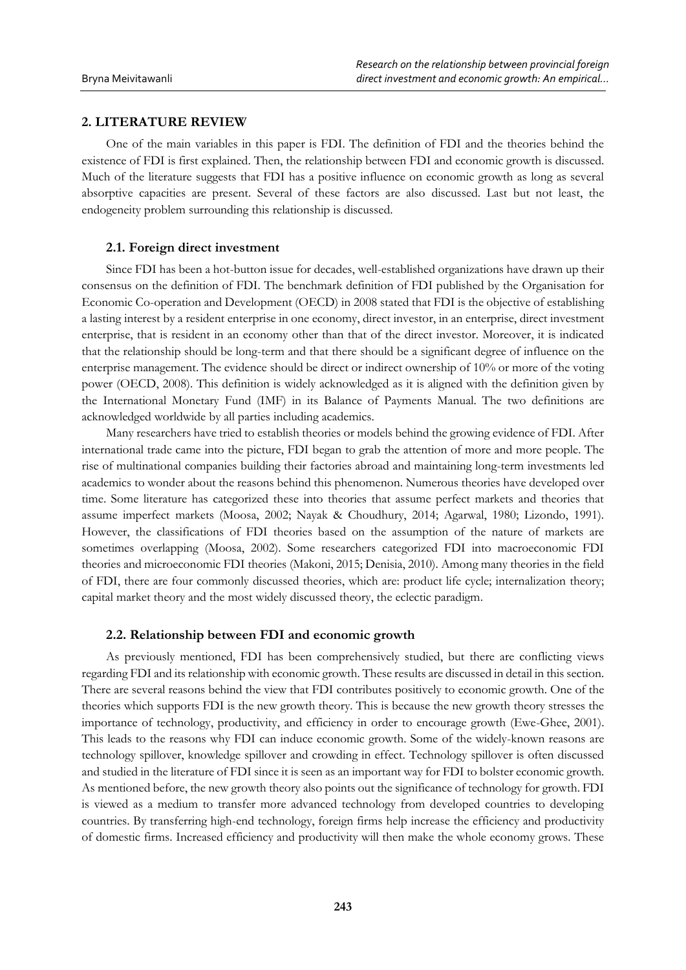## **2. LITERATURE REVIEW**

One of the main variables in this paper is FDI. The definition of FDI and the theories behind the existence of FDI is first explained. Then, the relationship between FDI and economic growth is discussed. Much of the literature suggests that FDI has a positive influence on economic growth as long as several absorptive capacities are present. Several of these factors are also discussed. Last but not least, the endogeneity problem surrounding this relationship is discussed.

## **2.1. Foreign direct investment**

Since FDI has been a hot-button issue for decades, well-established organizations have drawn up their consensus on the definition of FDI. The benchmark definition of FDI published by the Organisation for Economic Co-operation and Development (OECD) in 2008 stated that FDI is the objective of establishing a lasting interest by a resident enterprise in one economy, direct investor, in an enterprise, direct investment enterprise, that is resident in an economy other than that of the direct investor. Moreover, it is indicated that the relationship should be long-term and that there should be a significant degree of influence on the enterprise management. The evidence should be direct or indirect ownership of 10% or more of the voting power (OECD, 2008). This definition is widely acknowledged as it is aligned with the definition given by the International Monetary Fund (IMF) in its Balance of Payments Manual. The two definitions are acknowledged worldwide by all parties including academics.

Many researchers have tried to establish theories or models behind the growing evidence of FDI. After international trade came into the picture, FDI began to grab the attention of more and more people. The rise of multinational companies building their factories abroad and maintaining long-term investments led academics to wonder about the reasons behind this phenomenon. Numerous theories have developed over time. Some literature has categorized these into theories that assume perfect markets and theories that assume imperfect markets (Moosa, 2002; Nayak & Choudhury, 2014; Agarwal, 1980; Lizondo, 1991). However, the classifications of FDI theories based on the assumption of the nature of markets are sometimes overlapping (Moosa, 2002). Some researchers categorized FDI into macroeconomic FDI theories and microeconomic FDI theories (Makoni, 2015; Denisia, 2010). Among many theories in the field of FDI, there are four commonly discussed theories, which are: product life cycle; internalization theory; capital market theory and the most widely discussed theory, the eclectic paradigm.

### **2.2. Relationship between FDI and economic growth**

As previously mentioned, FDI has been comprehensively studied, but there are conflicting views regarding FDI and its relationship with economic growth. These results are discussed in detail in this section. There are several reasons behind the view that FDI contributes positively to economic growth. One of the theories which supports FDI is the new growth theory. This is because the new growth theory stresses the importance of technology, productivity, and efficiency in order to encourage growth (Ewe-Ghee, 2001). This leads to the reasons why FDI can induce economic growth. Some of the widely-known reasons are technology spillover, knowledge spillover and crowding in effect. Technology spillover is often discussed and studied in the literature of FDI since it is seen as an important way for FDI to bolster economic growth. As mentioned before, the new growth theory also points out the significance of technology for growth. FDI is viewed as a medium to transfer more advanced technology from developed countries to developing countries. By transferring high-end technology, foreign firms help increase the efficiency and productivity of domestic firms. Increased efficiency and productivity will then make the whole economy grows. These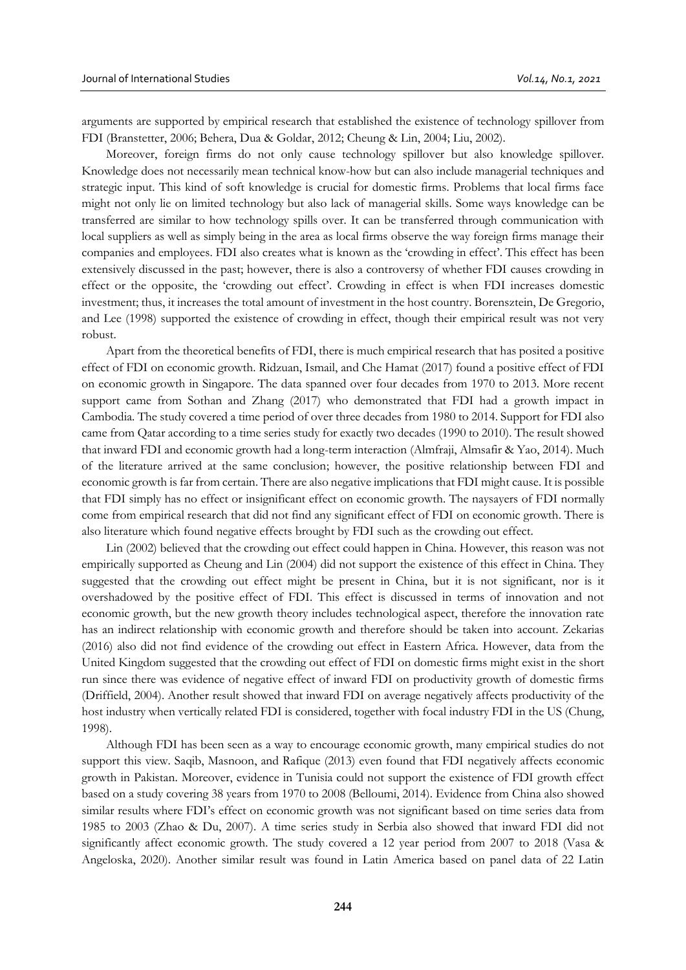arguments are supported by empirical research that established the existence of technology spillover from FDI (Branstetter, 2006; Behera, Dua & Goldar, 2012; Cheung & Lin, 2004; Liu, 2002).

Moreover, foreign firms do not only cause technology spillover but also knowledge spillover. Knowledge does not necessarily mean technical know-how but can also include managerial techniques and strategic input. This kind of soft knowledge is crucial for domestic firms. Problems that local firms face might not only lie on limited technology but also lack of managerial skills. Some ways knowledge can be transferred are similar to how technology spills over. It can be transferred through communication with local suppliers as well as simply being in the area as local firms observe the way foreign firms manage their companies and employees. FDI also creates what is known as the 'crowding in effect'. This effect has been extensively discussed in the past; however, there is also a controversy of whether FDI causes crowding in effect or the opposite, the 'crowding out effect'. Crowding in effect is when FDI increases domestic investment; thus, it increases the total amount of investment in the host country. Borensztein, De Gregorio, and Lee (1998) supported the existence of crowding in effect, though their empirical result was not very robust.

Apart from the theoretical benefits of FDI, there is much empirical research that has posited a positive effect of FDI on economic growth. Ridzuan, Ismail, and Che Hamat (2017) found a positive effect of FDI on economic growth in Singapore. The data spanned over four decades from 1970 to 2013. More recent support came from Sothan and Zhang (2017) who demonstrated that FDI had a growth impact in Cambodia. The study covered a time period of over three decades from 1980 to 2014. Support for FDI also came from Qatar according to a time series study for exactly two decades (1990 to 2010). The result showed that inward FDI and economic growth had a long-term interaction (Almfraji, Almsafir & Yao, 2014). Much of the literature arrived at the same conclusion; however, the positive relationship between FDI and economic growth is far from certain. There are also negative implications that FDI might cause. It is possible that FDI simply has no effect or insignificant effect on economic growth. The naysayers of FDI normally come from empirical research that did not find any significant effect of FDI on economic growth. There is also literature which found negative effects brought by FDI such as the crowding out effect.

Lin (2002) believed that the crowding out effect could happen in China. However, this reason was not empirically supported as Cheung and Lin (2004) did not support the existence of this effect in China. They suggested that the crowding out effect might be present in China, but it is not significant, nor is it overshadowed by the positive effect of FDI. This effect is discussed in terms of innovation and not economic growth, but the new growth theory includes technological aspect, therefore the innovation rate has an indirect relationship with economic growth and therefore should be taken into account. Zekarias (2016) also did not find evidence of the crowding out effect in Eastern Africa. However, data from the United Kingdom suggested that the crowding out effect of FDI on domestic firms might exist in the short run since there was evidence of negative effect of inward FDI on productivity growth of domestic firms (Driffield, 2004). Another result showed that inward FDI on average negatively affects productivity of the host industry when vertically related FDI is considered, together with focal industry FDI in the US (Chung, 1998).

Although FDI has been seen as a way to encourage economic growth, many empirical studies do not support this view. Saqib, Masnoon, and Rafique (2013) even found that FDI negatively affects economic growth in Pakistan. Moreover, evidence in Tunisia could not support the existence of FDI growth effect based on a study covering 38 years from 1970 to 2008 (Belloumi, 2014). Evidence from China also showed similar results where FDI's effect on economic growth was not significant based on time series data from 1985 to 2003 (Zhao & Du, 2007). A time series study in Serbia also showed that inward FDI did not significantly affect economic growth. The study covered a 12 year period from 2007 to 2018 (Vasa & Angeloska, 2020). Another similar result was found in Latin America based on panel data of 22 Latin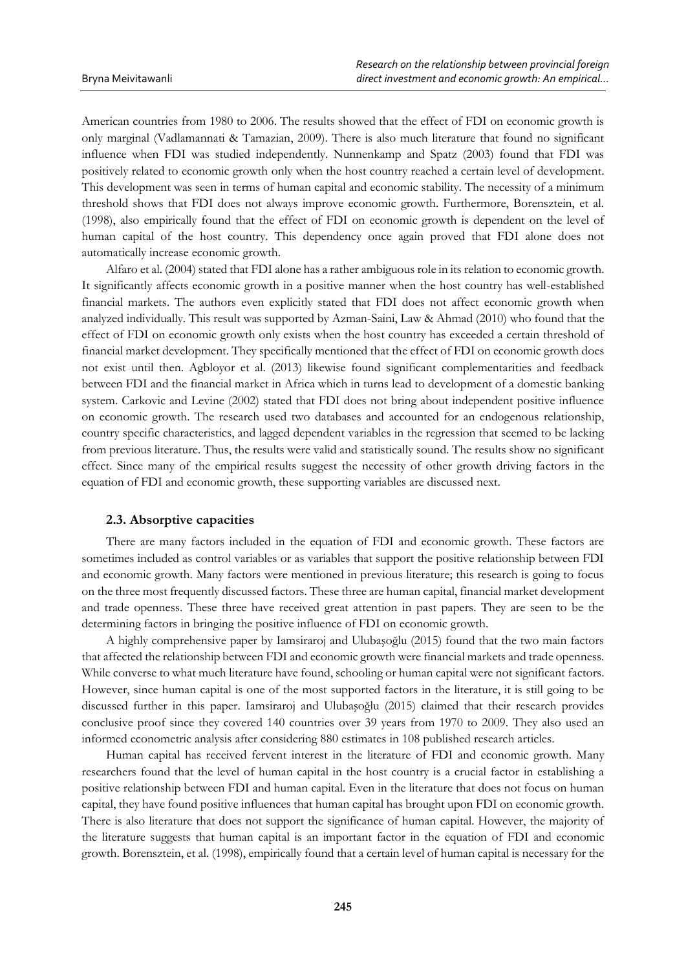American countries from 1980 to 2006. The results showed that the effect of FDI on economic growth is only marginal (Vadlamannati & Tamazian, 2009). There is also much literature that found no significant influence when FDI was studied independently. Nunnenkamp and Spatz (2003) found that FDI was positively related to economic growth only when the host country reached a certain level of development. This development was seen in terms of human capital and economic stability. The necessity of a minimum threshold shows that FDI does not always improve economic growth. Furthermore, Borensztein, et al. (1998), also empirically found that the effect of FDI on economic growth is dependent on the level of human capital of the host country. This dependency once again proved that FDI alone does not automatically increase economic growth.

Alfaro et al. (2004) stated that FDI alone has a rather ambiguous role in its relation to economic growth. It significantly affects economic growth in a positive manner when the host country has well-established financial markets. The authors even explicitly stated that FDI does not affect economic growth when analyzed individually. This result was supported by Azman-Saini, Law & Ahmad (2010) who found that the effect of FDI on economic growth only exists when the host country has exceeded a certain threshold of financial market development. They specifically mentioned that the effect of FDI on economic growth does not exist until then. Agbloyor et al. (2013) likewise found significant complementarities and feedback between FDI and the financial market in Africa which in turns lead to development of a domestic banking system. Carkovic and Levine (2002) stated that FDI does not bring about independent positive influence on economic growth. The research used two databases and accounted for an endogenous relationship, country specific characteristics, and lagged dependent variables in the regression that seemed to be lacking from previous literature. Thus, the results were valid and statistically sound. The results show no significant effect. Since many of the empirical results suggest the necessity of other growth driving factors in the equation of FDI and economic growth, these supporting variables are discussed next.

#### **2.3. Absorptive capacities**

There are many factors included in the equation of FDI and economic growth. These factors are sometimes included as control variables or as variables that support the positive relationship between FDI and economic growth. Many factors were mentioned in previous literature; this research is going to focus on the three most frequently discussed factors. These three are human capital, financial market development and trade openness. These three have received great attention in past papers. They are seen to be the determining factors in bringing the positive influence of FDI on economic growth.

A highly comprehensive paper by Iamsiraroj and Ulubaşoğlu (2015) found that the two main factors that affected the relationship between FDI and economic growth were financial markets and trade openness. While converse to what much literature have found, schooling or human capital were not significant factors. However, since human capital is one of the most supported factors in the literature, it is still going to be discussed further in this paper. Iamsiraroj and Ulubaşoğlu (2015) claimed that their research provides conclusive proof since they covered 140 countries over 39 years from 1970 to 2009. They also used an informed econometric analysis after considering 880 estimates in 108 published research articles.

Human capital has received fervent interest in the literature of FDI and economic growth. Many researchers found that the level of human capital in the host country is a crucial factor in establishing a positive relationship between FDI and human capital. Even in the literature that does not focus on human capital, they have found positive influences that human capital has brought upon FDI on economic growth. There is also literature that does not support the significance of human capital. However, the majority of the literature suggests that human capital is an important factor in the equation of FDI and economic growth. Borensztein, et al. (1998), empirically found that a certain level of human capital is necessary for the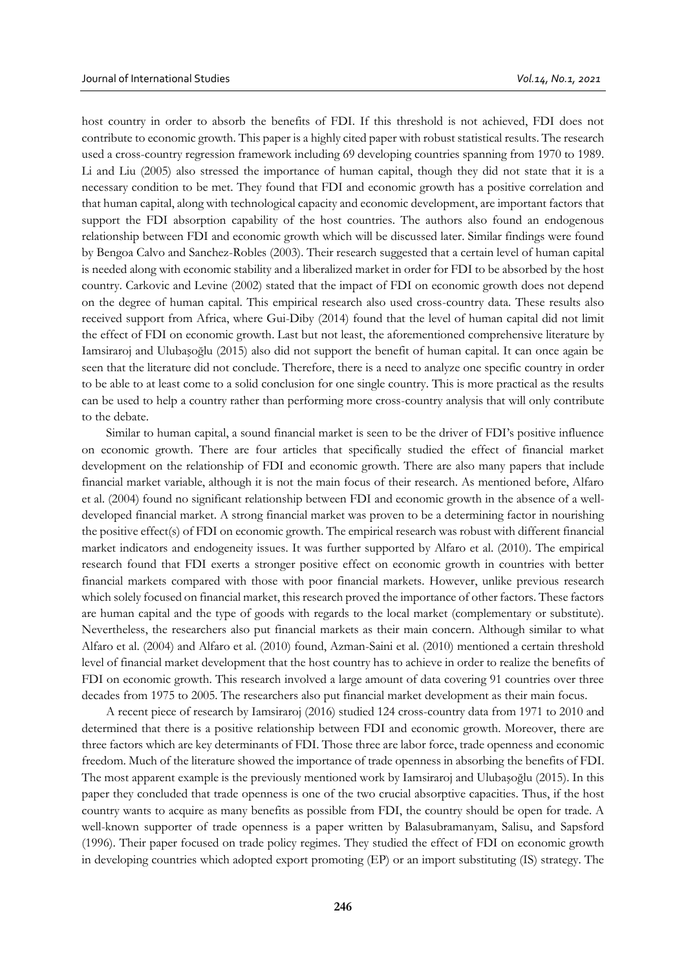host country in order to absorb the benefits of FDI. If this threshold is not achieved, FDI does not contribute to economic growth. This paper is a highly cited paper with robust statistical results. The research used a cross-country regression framework including 69 developing countries spanning from 1970 to 1989. Li and Liu (2005) also stressed the importance of human capital, though they did not state that it is a necessary condition to be met. They found that FDI and economic growth has a positive correlation and that human capital, along with technological capacity and economic development, are important factors that support the FDI absorption capability of the host countries. The authors also found an endogenous relationship between FDI and economic growth which will be discussed later. Similar findings were found by Bengoa Calvo and Sanchez-Robles (2003). Their research suggested that a certain level of human capital is needed along with economic stability and a liberalized market in order for FDI to be absorbed by the host country. Carkovic and Levine (2002) stated that the impact of FDI on economic growth does not depend on the degree of human capital. This empirical research also used cross-country data. These results also received support from Africa, where Gui-Diby (2014) found that the level of human capital did not limit the effect of FDI on economic growth. Last but not least, the aforementioned comprehensive literature by Iamsiraroj and Ulubaşoğlu (2015) also did not support the benefit of human capital. It can once again be seen that the literature did not conclude. Therefore, there is a need to analyze one specific country in order to be able to at least come to a solid conclusion for one single country. This is more practical as the results can be used to help a country rather than performing more cross-country analysis that will only contribute to the debate.

Similar to human capital, a sound financial market is seen to be the driver of FDI's positive influence on economic growth. There are four articles that specifically studied the effect of financial market development on the relationship of FDI and economic growth. There are also many papers that include financial market variable, although it is not the main focus of their research. As mentioned before, Alfaro et al. (2004) found no significant relationship between FDI and economic growth in the absence of a welldeveloped financial market. A strong financial market was proven to be a determining factor in nourishing the positive effect(s) of FDI on economic growth. The empirical research was robust with different financial market indicators and endogeneity issues. It was further supported by Alfaro et al. (2010). The empirical research found that FDI exerts a stronger positive effect on economic growth in countries with better financial markets compared with those with poor financial markets. However, unlike previous research which solely focused on financial market, this research proved the importance of other factors. These factors are human capital and the type of goods with regards to the local market (complementary or substitute). Nevertheless, the researchers also put financial markets as their main concern. Although similar to what Alfaro et al. (2004) and Alfaro et al. (2010) found, Azman-Saini et al. (2010) mentioned a certain threshold level of financial market development that the host country has to achieve in order to realize the benefits of FDI on economic growth. This research involved a large amount of data covering 91 countries over three decades from 1975 to 2005. The researchers also put financial market development as their main focus.

A recent piece of research by Iamsiraroj (2016) studied 124 cross-country data from 1971 to 2010 and determined that there is a positive relationship between FDI and economic growth. Moreover, there are three factors which are key determinants of FDI. Those three are labor force, trade openness and economic freedom. Much of the literature showed the importance of trade openness in absorbing the benefits of FDI. The most apparent example is the previously mentioned work by Iamsiraroj and Ulubaşoğlu (2015). In this paper they concluded that trade openness is one of the two crucial absorptive capacities. Thus, if the host country wants to acquire as many benefits as possible from FDI, the country should be open for trade. A well-known supporter of trade openness is a paper written by Balasubramanyam, Salisu, and Sapsford (1996). Their paper focused on trade policy regimes. They studied the effect of FDI on economic growth in developing countries which adopted export promoting (EP) or an import substituting (IS) strategy. The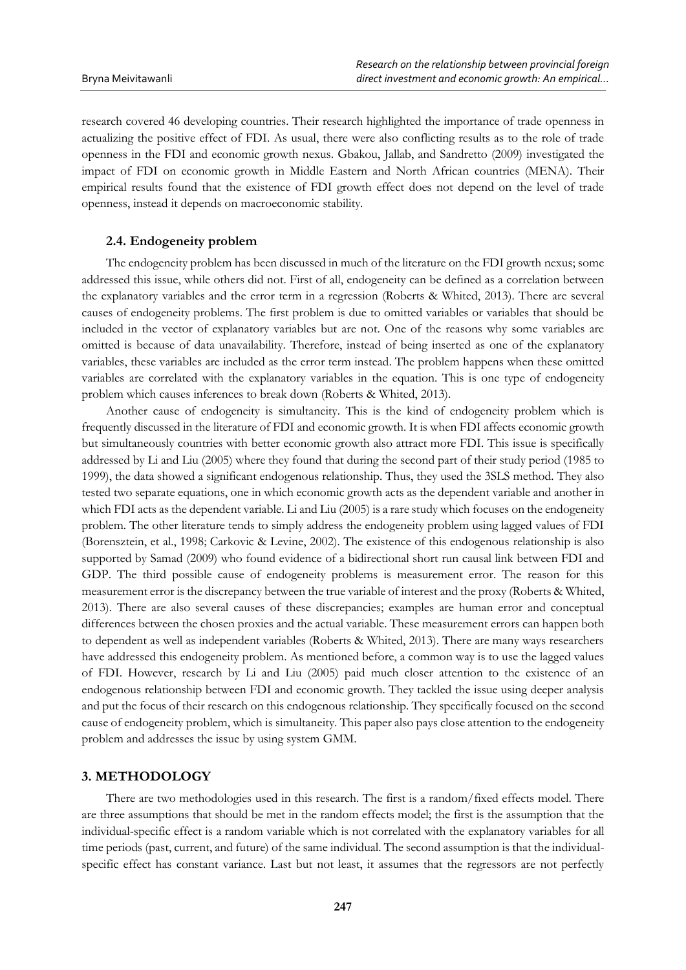research covered 46 developing countries. Their research highlighted the importance of trade openness in actualizing the positive effect of FDI. As usual, there were also conflicting results as to the role of trade openness in the FDI and economic growth nexus. Gbakou, Jallab, and Sandretto (2009) investigated the impact of FDI on economic growth in Middle Eastern and North African countries (MENA). Their empirical results found that the existence of FDI growth effect does not depend on the level of trade openness, instead it depends on macroeconomic stability.

### **2.4. Endogeneity problem**

The endogeneity problem has been discussed in much of the literature on the FDI growth nexus; some addressed this issue, while others did not. First of all, endogeneity can be defined as a correlation between the explanatory variables and the error term in a regression (Roberts & Whited, 2013). There are several causes of endogeneity problems. The first problem is due to omitted variables or variables that should be included in the vector of explanatory variables but are not. One of the reasons why some variables are omitted is because of data unavailability. Therefore, instead of being inserted as one of the explanatory variables, these variables are included as the error term instead. The problem happens when these omitted variables are correlated with the explanatory variables in the equation. This is one type of endogeneity problem which causes inferences to break down (Roberts & Whited, 2013).

Another cause of endogeneity is simultaneity. This is the kind of endogeneity problem which is frequently discussed in the literature of FDI and economic growth. It is when FDI affects economic growth but simultaneously countries with better economic growth also attract more FDI. This issue is specifically addressed by Li and Liu (2005) where they found that during the second part of their study period (1985 to 1999), the data showed a significant endogenous relationship. Thus, they used the 3SLS method. They also tested two separate equations, one in which economic growth acts as the dependent variable and another in which FDI acts as the dependent variable. Li and Liu (2005) is a rare study which focuses on the endogeneity problem. The other literature tends to simply address the endogeneity problem using lagged values of FDI (Borensztein, et al., 1998; Carkovic & Levine, 2002). The existence of this endogenous relationship is also supported by Samad (2009) who found evidence of a bidirectional short run causal link between FDI and GDP. The third possible cause of endogeneity problems is measurement error. The reason for this measurement error is the discrepancy between the true variable of interest and the proxy (Roberts & Whited, 2013). There are also several causes of these discrepancies; examples are human error and conceptual differences between the chosen proxies and the actual variable. These measurement errors can happen both to dependent as well as independent variables (Roberts & Whited, 2013). There are many ways researchers have addressed this endogeneity problem. As mentioned before, a common way is to use the lagged values of FDI. However, research by Li and Liu (2005) paid much closer attention to the existence of an endogenous relationship between FDI and economic growth. They tackled the issue using deeper analysis and put the focus of their research on this endogenous relationship. They specifically focused on the second cause of endogeneity problem, which is simultaneity. This paper also pays close attention to the endogeneity problem and addresses the issue by using system GMM.

## **3. METHODOLOGY**

There are two methodologies used in this research. The first is a random/fixed effects model. There are three assumptions that should be met in the random effects model; the first is the assumption that the individual-specific effect is a random variable which is not correlated with the explanatory variables for all time periods (past, current, and future) of the same individual. The second assumption is that the individualspecific effect has constant variance. Last but not least, it assumes that the regressors are not perfectly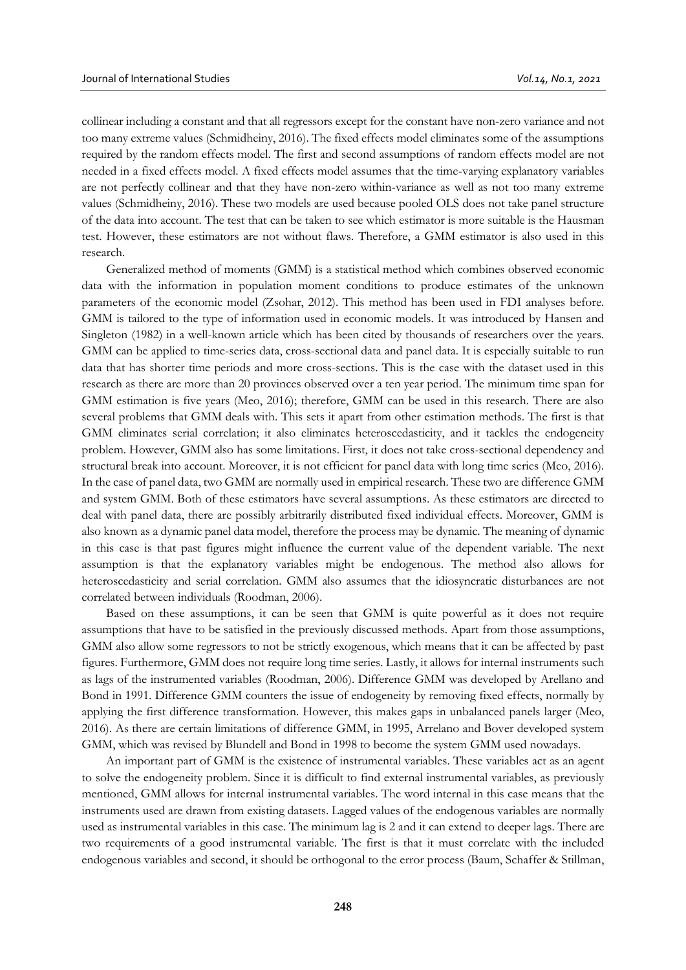collinear including a constant and that all regressors except for the constant have non-zero variance and not too many extreme values (Schmidheiny, 2016). The fixed effects model eliminates some of the assumptions required by the random effects model. The first and second assumptions of random effects model are not needed in a fixed effects model. A fixed effects model assumes that the time-varying explanatory variables are not perfectly collinear and that they have non-zero within-variance as well as not too many extreme values (Schmidheiny, 2016). These two models are used because pooled OLS does not take panel structure of the data into account. The test that can be taken to see which estimator is more suitable is the Hausman test. However, these estimators are not without flaws. Therefore, a GMM estimator is also used in this research.

Generalized method of moments (GMM) is a statistical method which combines observed economic data with the information in population moment conditions to produce estimates of the unknown parameters of the economic model (Zsohar, 2012). This method has been used in FDI analyses before. GMM is tailored to the type of information used in economic models. It was introduced by Hansen and Singleton (1982) in a well-known article which has been cited by thousands of researchers over the years. GMM can be applied to time-series data, cross-sectional data and panel data. It is especially suitable to run data that has shorter time periods and more cross-sections. This is the case with the dataset used in this research as there are more than 20 provinces observed over a ten year period. The minimum time span for GMM estimation is five years (Meo, 2016); therefore, GMM can be used in this research. There are also several problems that GMM deals with. This sets it apart from other estimation methods. The first is that GMM eliminates serial correlation; it also eliminates heteroscedasticity, and it tackles the endogeneity problem. However, GMM also has some limitations. First, it does not take cross-sectional dependency and structural break into account. Moreover, it is not efficient for panel data with long time series (Meo, 2016). In the case of panel data, two GMM are normally used in empirical research. These two are difference GMM and system GMM. Both of these estimators have several assumptions. As these estimators are directed to deal with panel data, there are possibly arbitrarily distributed fixed individual effects. Moreover, GMM is also known as a dynamic panel data model, therefore the process may be dynamic. The meaning of dynamic in this case is that past figures might influence the current value of the dependent variable. The next assumption is that the explanatory variables might be endogenous. The method also allows for heteroscedasticity and serial correlation. GMM also assumes that the idiosyncratic disturbances are not correlated between individuals (Roodman, 2006).

Based on these assumptions, it can be seen that GMM is quite powerful as it does not require assumptions that have to be satisfied in the previously discussed methods. Apart from those assumptions, GMM also allow some regressors to not be strictly exogenous, which means that it can be affected by past figures. Furthermore, GMM does not require long time series. Lastly, it allows for internal instruments such as lags of the instrumented variables (Roodman, 2006). Difference GMM was developed by Arellano and Bond in 1991. Difference GMM counters the issue of endogeneity by removing fixed effects, normally by applying the first difference transformation. However, this makes gaps in unbalanced panels larger (Meo, 2016). As there are certain limitations of difference GMM, in 1995, Arrelano and Bover developed system GMM, which was revised by Blundell and Bond in 1998 to become the system GMM used nowadays.

An important part of GMM is the existence of instrumental variables. These variables act as an agent to solve the endogeneity problem. Since it is difficult to find external instrumental variables, as previously mentioned, GMM allows for internal instrumental variables. The word internal in this case means that the instruments used are drawn from existing datasets. Lagged values of the endogenous variables are normally used as instrumental variables in this case. The minimum lag is 2 and it can extend to deeper lags. There are two requirements of a good instrumental variable. The first is that it must correlate with the included endogenous variables and second, it should be orthogonal to the error process (Baum, Schaffer & Stillman,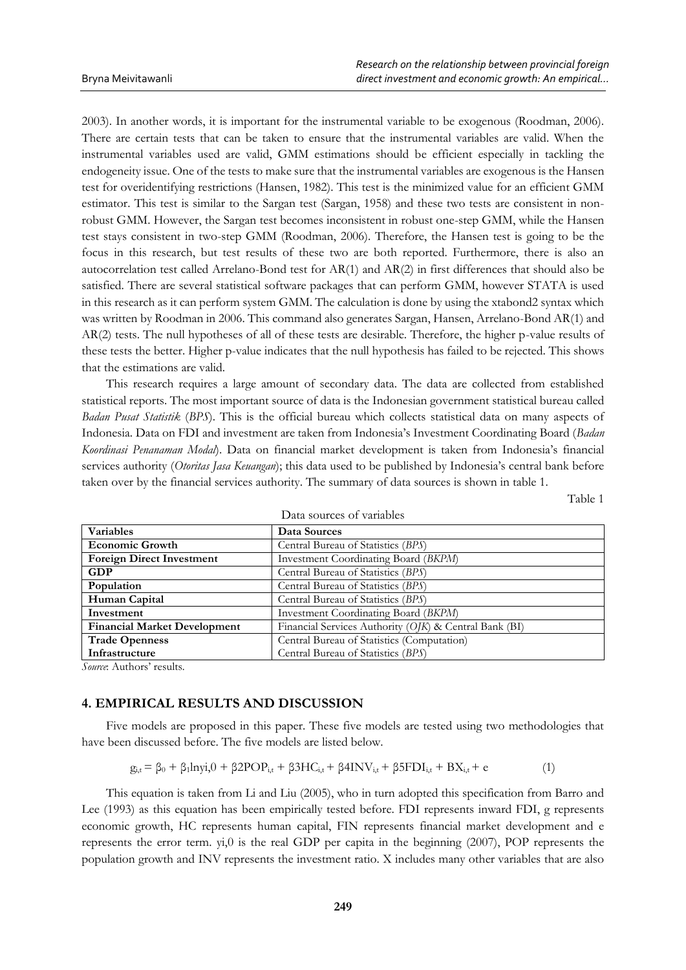2003). In another words, it is important for the instrumental variable to be exogenous (Roodman, 2006). There are certain tests that can be taken to ensure that the instrumental variables are valid. When the instrumental variables used are valid, GMM estimations should be efficient especially in tackling the endogeneity issue. One of the tests to make sure that the instrumental variables are exogenous is the Hansen test for overidentifying restrictions (Hansen, 1982). This test is the minimized value for an efficient GMM estimator. This test is similar to the Sargan test (Sargan, 1958) and these two tests are consistent in nonrobust GMM. However, the Sargan test becomes inconsistent in robust one-step GMM, while the Hansen test stays consistent in two-step GMM (Roodman, 2006). Therefore, the Hansen test is going to be the focus in this research, but test results of these two are both reported. Furthermore, there is also an autocorrelation test called Arrelano-Bond test for AR(1) and AR(2) in first differences that should also be satisfied. There are several statistical software packages that can perform GMM, however STATA is used in this research as it can perform system GMM. The calculation is done by using the xtabond2 syntax which was written by Roodman in 2006. This command also generates Sargan, Hansen, Arrelano-Bond AR(1) and AR(2) tests. The null hypotheses of all of these tests are desirable. Therefore, the higher p-value results of these tests the better. Higher p-value indicates that the null hypothesis has failed to be rejected. This shows that the estimations are valid.

This research requires a large amount of secondary data. The data are collected from established statistical reports. The most important source of data is the Indonesian government statistical bureau called *Badan Pusat Statistik* (*BPS*). This is the official bureau which collects statistical data on many aspects of Indonesia. Data on FDI and investment are taken from Indonesia's Investment Coordinating Board (*Badan Koordinasi Penanaman Modal*). Data on financial market development is taken from Indonesia's financial services authority (*Otoritas Jasa Keuangan*); this data used to be published by Indonesia's central bank before taken over by the financial services authority. The summary of data sources is shown in table 1.

Table 1

| Data sources of variables           |                                                        |  |  |  |
|-------------------------------------|--------------------------------------------------------|--|--|--|
| Variables                           | Data Sources                                           |  |  |  |
| <b>Economic Growth</b>              | Central Bureau of Statistics (BPS)                     |  |  |  |
| <b>Foreign Direct Investment</b>    | Investment Coordinating Board (BKPM)                   |  |  |  |
| <b>GDP</b>                          | Central Bureau of Statistics (BPS)                     |  |  |  |
| Population                          | Central Bureau of Statistics (BPS)                     |  |  |  |
| Human Capital                       | Central Bureau of Statistics (BPS)                     |  |  |  |
| Investment                          | Investment Coordinating Board (BKPM)                   |  |  |  |
| <b>Financial Market Development</b> | Financial Services Authority (OJK) & Central Bank (BI) |  |  |  |
| <b>Trade Openness</b>               | Central Bureau of Statistics (Computation)             |  |  |  |
| Infrastructure                      | Central Bureau of Statistics (BPS)                     |  |  |  |

*Source*: Authors' results.

# **4. EMPIRICAL RESULTS AND DISCUSSION**

Five models are proposed in this paper. These five models are tested using two methodologies that have been discussed before. The five models are listed below.

$$
g_{i,t} = \beta_0 + \beta_1 l n y i, 0 + \beta 2 P O P_{i,t} + \beta 3 H C_{i,t} + \beta 4 I N V_{i,t} + \beta 5 F D I_{i,t} + B X_{i,t} + e \tag{1}
$$

This equation is taken from Li and Liu (2005), who in turn adopted this specification from Barro and Lee (1993) as this equation has been empirically tested before. FDI represents inward FDI, g represents economic growth, HC represents human capital, FIN represents financial market development and e represents the error term. yi,0 is the real GDP per capita in the beginning (2007), POP represents the population growth and INV represents the investment ratio. X includes many other variables that are also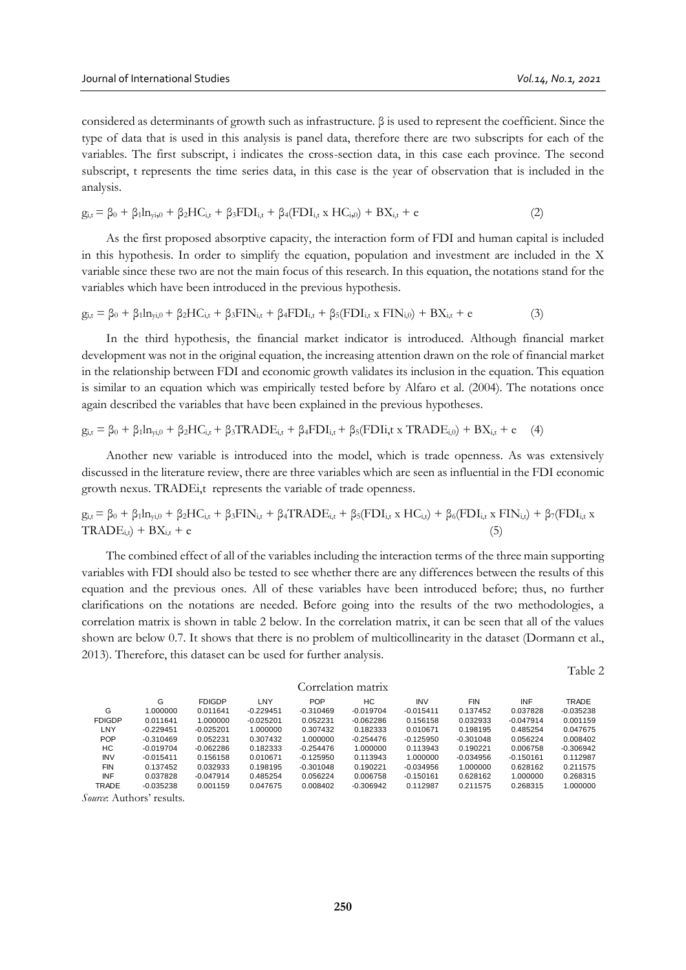considered as determinants of growth such as infrastructure. β is used to represent the coefficient. Since the type of data that is used in this analysis is panel data, therefore there are two subscripts for each of the variables. The first subscript, i indicates the cross-section data, in this case each province. The second subscript, t represents the time series data, in this case is the year of observation that is included in the analysis.

$$
g_{i,t} = \beta_0 + \beta_1 \ln_{y_i,0} + \beta_2 \text{HC}_{i,t} + \beta_3 \text{FDI}_{i,t} + \beta_4 (\text{FDI}_{i,t} \times \text{HC}_{i,0}) + \text{BX}_{i,t} + e \tag{2}
$$

As the first proposed absorptive capacity, the interaction form of FDI and human capital is included in this hypothesis. In order to simplify the equation, population and investment are included in the X variable since these two are not the main focus of this research. In this equation, the notations stand for the variables which have been introduced in the previous hypothesis.

$$
g_{i,t} = \beta_0 + \beta_1 ln_{yi,0} + \beta_2 HC_{i,t} + \beta_3 FIN_{i,t} + \beta_4 FDI_{i,t} + \beta_5 (FDI_{i,t} \times FIN_{i,0}) + BX_{i,t} + e
$$
 (3)

In the third hypothesis, the financial market indicator is introduced. Although financial market development was not in the original equation, the increasing attention drawn on the role of financial market in the relationship between FDI and economic growth validates its inclusion in the equation. This equation is similar to an equation which was empirically tested before by Alfaro et al. (2004). The notations once again described the variables that have been explained in the previous hypotheses.

 $g_{it} = \beta_0 + \beta_1 \ln_{vi} + \beta_2 HC_{it} + \beta_3 TRADE_{it} + \beta_4 FDI_{it} + \beta_5 (FDI_{it} \times TRADE_{i0}) + BX_{it} + e$  (4)

Another new variable is introduced into the model, which is trade openness. As was extensively discussed in the literature review, there are three variables which are seen as influential in the FDI economic growth nexus. TRADEi,t represents the variable of trade openness.

 $g_{i,t} = \beta_0 + \beta_1 \ln_{y_i,0} + \beta_2 \text{HC}_{i,t} + \beta_3 \text{FIN}_{i,t} + \beta_4 \text{TRADE}_{i,t} + \beta_5 (\text{FDI}_{i,t} \times \text{HC}_{i,t}) + \beta_6 (\text{FDI}_{i,t} \times \text{FIN}_{i,t}) + \beta_7 (\text{FDI}_{i,t} \times \text{FDI}_{i,t})$  $TRADE_{i,t}$  +  $BX_{i,t}$  + e

The combined effect of all of the variables including the interaction terms of the three main supporting variables with FDI should also be tested to see whether there are any differences between the results of this equation and the previous ones. All of these variables have been introduced before; thus, no further clarifications on the notations are needed. Before going into the results of the two methodologies, a correlation matrix is shown in table 2 below. In the correlation matrix, it can be seen that all of the values shown are below 0.7. It shows that there is no problem of multicollinearity in the dataset (Dormann et al., 2013). Therefore, this dataset can be used for further analysis.

Table 2

|                    |               | $\overline{\phantom{a}}$ |               |             |             |             |             |             |             |              |
|--------------------|---------------|--------------------------|---------------|-------------|-------------|-------------|-------------|-------------|-------------|--------------|
|                    |               |                          |               |             |             |             |             |             |             | Table        |
| Correlation matrix |               |                          |               |             |             |             |             |             |             |              |
|                    |               | G                        | <b>FDIGDP</b> | LNY         | <b>POP</b>  | НC          | <b>INV</b>  | <b>FIN</b>  | <b>INF</b>  | <b>TRADE</b> |
|                    | G             | 1.000000                 | 0.011641      | $-0.229451$ | $-0.310469$ | $-0.019704$ | $-0.015411$ | 0.137452    | 0.037828    | $-0.035238$  |
|                    | <b>FDIGDP</b> | 0.011641                 | 1.000000      | $-0.025201$ | 0.052231    | $-0.062286$ | 0.156158    | 0.032933    | $-0.047914$ | 0.001159     |
|                    | LNY           | $-0.229451$              | $-0.025201$   | 1.000000    | 0.307432    | 0.182333    | 0.010671    | 0.198195    | 0.485254    | 0.047675     |
|                    | <b>POP</b>    | $-0.310469$              | 0.052231      | 0.307432    | 1.000000    | $-0.254476$ | $-0.125950$ | $-0.301048$ | 0.056224    | 0.008402     |
|                    | НC            | $-0.019704$              | $-0.062286$   | 0.182333    | $-0.254476$ | 1.000000    | 0.113943    | 0.190221    | 0.006758    | $-0.306942$  |
|                    | <b>INV</b>    | $-0.015411$              | 0.156158      | 0.010671    | $-0.125950$ | 0.113943    | 1.000000    | $-0.034956$ | $-0.150161$ | 0.112987     |
|                    | <b>FIN</b>    | 0.137452                 | 0.032933      | 0.198195    | $-0.301048$ | 0.190221    | $-0.034956$ | 1.000000    | 0.628162    | 0.211575     |
|                    | INF           | 0.037828                 | $-0.047914$   | 0.485254    | 0.056224    | 0.006758    | $-0.150161$ | 0.628162    | 1.000000    | 0.268315     |
|                    | <b>TRADE</b>  | $-0.035238$              | 0.001159      | 0.047675    | 0.008402    | $-0.306942$ | 0.112987    | 0.211575    | 0.268315    | 1.000000     |
|                    |               |                          |               |             |             |             |             |             |             |              |

*Source*: Authors' results.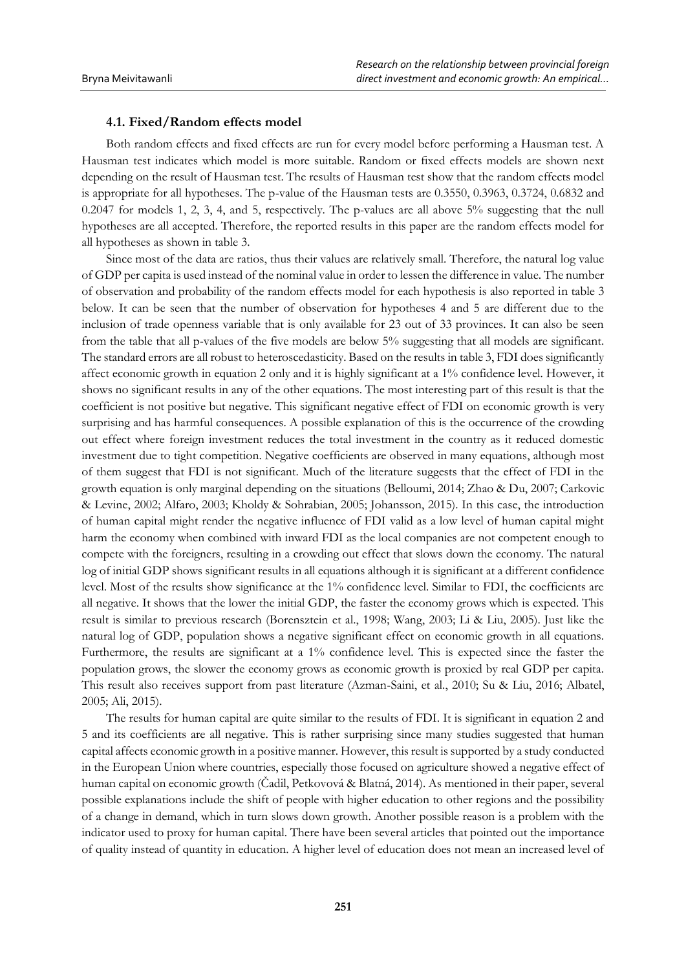## **4.1. Fixed/Random effects model**

Both random effects and fixed effects are run for every model before performing a Hausman test. A Hausman test indicates which model is more suitable. Random or fixed effects models are shown next depending on the result of Hausman test. The results of Hausman test show that the random effects model is appropriate for all hypotheses. The p-value of the Hausman tests are 0.3550, 0.3963, 0.3724, 0.6832 and 0.2047 for models 1, 2, 3, 4, and 5, respectively. The p-values are all above 5% suggesting that the null hypotheses are all accepted. Therefore, the reported results in this paper are the random effects model for all hypotheses as shown in table 3.

Since most of the data are ratios, thus their values are relatively small. Therefore, the natural log value of GDP per capita is used instead of the nominal value in order to lessen the difference in value. The number of observation and probability of the random effects model for each hypothesis is also reported in table 3 below. It can be seen that the number of observation for hypotheses 4 and 5 are different due to the inclusion of trade openness variable that is only available for 23 out of 33 provinces. It can also be seen from the table that all p-values of the five models are below 5% suggesting that all models are significant. The standard errors are all robust to heteroscedasticity. Based on the results in table 3, FDI does significantly affect economic growth in equation 2 only and it is highly significant at a 1% confidence level. However, it shows no significant results in any of the other equations. The most interesting part of this result is that the coefficient is not positive but negative. This significant negative effect of FDI on economic growth is very surprising and has harmful consequences. A possible explanation of this is the occurrence of the crowding out effect where foreign investment reduces the total investment in the country as it reduced domestic investment due to tight competition. Negative coefficients are observed in many equations, although most of them suggest that FDI is not significant. Much of the literature suggests that the effect of FDI in the growth equation is only marginal depending on the situations (Belloumi, 2014; Zhao & Du, 2007; Carkovic & Levine, 2002; Alfaro, 2003; Kholdy & Sohrabian, 2005; Johansson, 2015). In this case, the introduction of human capital might render the negative influence of FDI valid as a low level of human capital might harm the economy when combined with inward FDI as the local companies are not competent enough to compete with the foreigners, resulting in a crowding out effect that slows down the economy. The natural log of initial GDP shows significant results in all equations although it is significant at a different confidence level. Most of the results show significance at the 1% confidence level. Similar to FDI, the coefficients are all negative. It shows that the lower the initial GDP, the faster the economy grows which is expected. This result is similar to previous research (Borensztein et al., 1998; Wang, 2003; Li & Liu, 2005). Just like the natural log of GDP, population shows a negative significant effect on economic growth in all equations. Furthermore, the results are significant at a 1% confidence level. This is expected since the faster the population grows, the slower the economy grows as economic growth is proxied by real GDP per capita. This result also receives support from past literature (Azman-Saini, et al., 2010; Su & Liu, 2016; Albatel, 2005; Ali, 2015).

The results for human capital are quite similar to the results of FDI. It is significant in equation 2 and 5 and its coefficients are all negative. This is rather surprising since many studies suggested that human capital affects economic growth in a positive manner. However, this result is supported by a study conducted in the European Union where countries, especially those focused on agriculture showed a negative effect of human capital on economic growth (Čadil, Petkovová & Blatná, 2014). As mentioned in their paper, several possible explanations include the shift of people with higher education to other regions and the possibility of a change in demand, which in turn slows down growth. Another possible reason is a problem with the indicator used to proxy for human capital. There have been several articles that pointed out the importance of quality instead of quantity in education. A higher level of education does not mean an increased level of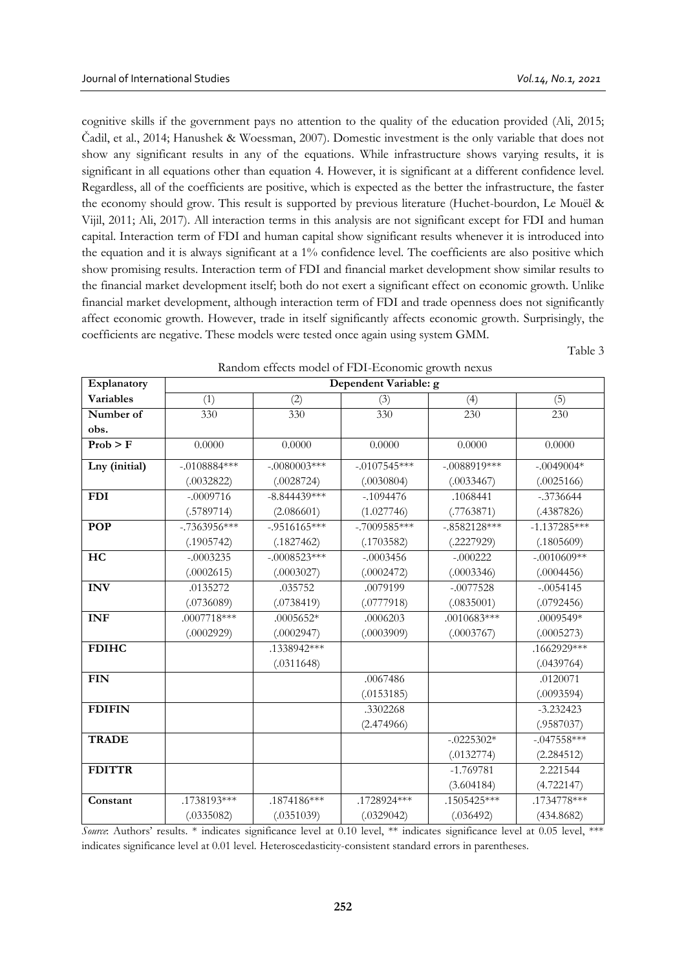cognitive skills if the government pays no attention to the quality of the education provided (Ali, 2015; Čadil, et al., 2014; Hanushek & Woessman, 2007). Domestic investment is the only variable that does not show any significant results in any of the equations. While infrastructure shows varying results, it is significant in all equations other than equation 4. However, it is significant at a different confidence level. Regardless, all of the coefficients are positive, which is expected as the better the infrastructure, the faster the economy should grow. This result is supported by previous literature (Huchet-bourdon, Le Mouël & Vijil, 2011; Ali, 2017). All interaction terms in this analysis are not significant except for FDI and human capital. Interaction term of FDI and human capital show significant results whenever it is introduced into the equation and it is always significant at a 1% confidence level. The coefficients are also positive which show promising results. Interaction term of FDI and financial market development show similar results to the financial market development itself; both do not exert a significant effect on economic growth. Unlike financial market development, although interaction term of FDI and trade openness does not significantly affect economic growth. However, trade in itself significantly affects economic growth. Surprisingly, the coefficients are negative. These models were tested once again using system GMM.

Table 3

| Explanatory   | Dependent Variable: g |                 |                |                |                |  |  |  |  |
|---------------|-----------------------|-----------------|----------------|----------------|----------------|--|--|--|--|
| Variables     | (1)                   | (2)             | (3)            | (4)            | (5)            |  |  |  |  |
| Number of     | 330                   | 330             | 330            | 230            | 230            |  |  |  |  |
| obs.          |                       |                 |                |                |                |  |  |  |  |
| Prob > F      | 0.0000                | 0.0000          | 0.0000         | 0.0000         | 0.0000         |  |  |  |  |
| Lny (initial) | $-.0108884***$        | $-.0080003$ *** | $-.0107545***$ | $-.0088919***$ | $-.0049004*$   |  |  |  |  |
|               | (.0032822)            | (.0028724)      | (.0030804)     | (.0033467)     | (.0025166)     |  |  |  |  |
| <b>FDI</b>    | $-.0009716$           | $-8.844439***$  | $-1094476$     | .1068441       | $-.3736644$    |  |  |  |  |
|               | (.5789714)            | (2.086601)      | (1.027746)     | (.7763871)     | (.4387826)     |  |  |  |  |
| <b>POP</b>    | $-.7363956***$        | $-.9516165***$  | $-.7009585***$ | $-.8582128***$ | $-1.137285***$ |  |  |  |  |
|               | (.1905742)            | (.1827462)      | (.1703582)     | (.2227929)     | (.1805609)     |  |  |  |  |
| HC            | $-.0003235$           | $-.0008523***$  | $-.0003456$    | $-.000222$     | $-.0010609**$  |  |  |  |  |
|               | (.0002615)            | (.0003027)      | (.0002472)     | (.0003346)     | (.0004456)     |  |  |  |  |
| <b>INV</b>    | .0135272              | .035752         | .0079199       | $-.0077528$    | $-.0054145$    |  |  |  |  |
|               | (.0736089)            | (.0738419)      | (.0777918)     | (.0835001)     | (.0792456)     |  |  |  |  |
| <b>INF</b>    | $.0007718***$         | $.0005652*$     | .0006203       | $.0010683***$  | .0009549*      |  |  |  |  |
|               | (.0002929)            | (.0002947)      | (.0003909)     | (.0003767)     | (.0005273)     |  |  |  |  |
| <b>FDIHC</b>  |                       | .1338942***     |                |                | .1662929***    |  |  |  |  |
|               |                       | (.0311648)      |                |                | (.0439764)     |  |  |  |  |
| <b>FIN</b>    |                       |                 | .0067486       |                | .0120071       |  |  |  |  |
|               |                       |                 | (.0153185)     |                | (.0093594)     |  |  |  |  |
| <b>FDIFIN</b> |                       |                 | .3302268       |                | $-3.232423$    |  |  |  |  |
|               |                       |                 | (2.474966)     |                | (.9587037)     |  |  |  |  |
| <b>TRADE</b>  |                       |                 |                | $-.0225302*$   | $-.047558***$  |  |  |  |  |
|               |                       |                 |                | (.0132774)     | (2.284512)     |  |  |  |  |
| <b>FDITTR</b> |                       |                 |                | $-1.769781$    | 2.221544       |  |  |  |  |
|               |                       |                 |                | (3.604184)     | (4.722147)     |  |  |  |  |
| Constant      | .1738193***           | .1874186***     | .1728924***    | .1505425***    | $.1734778***$  |  |  |  |  |
|               | (.0335082)            | (.0351039)      | (.0329042)     | (.036492)      | (434.8682)     |  |  |  |  |

Random effects model of FDI-Economic growth nexus

*Source*: Authors' results. \* indicates significance level at 0.10 level, \*\* indicates significance level at 0.05 level, \*\*\* indicates significance level at 0.01 level. Heteroscedasticity-consistent standard errors in parentheses.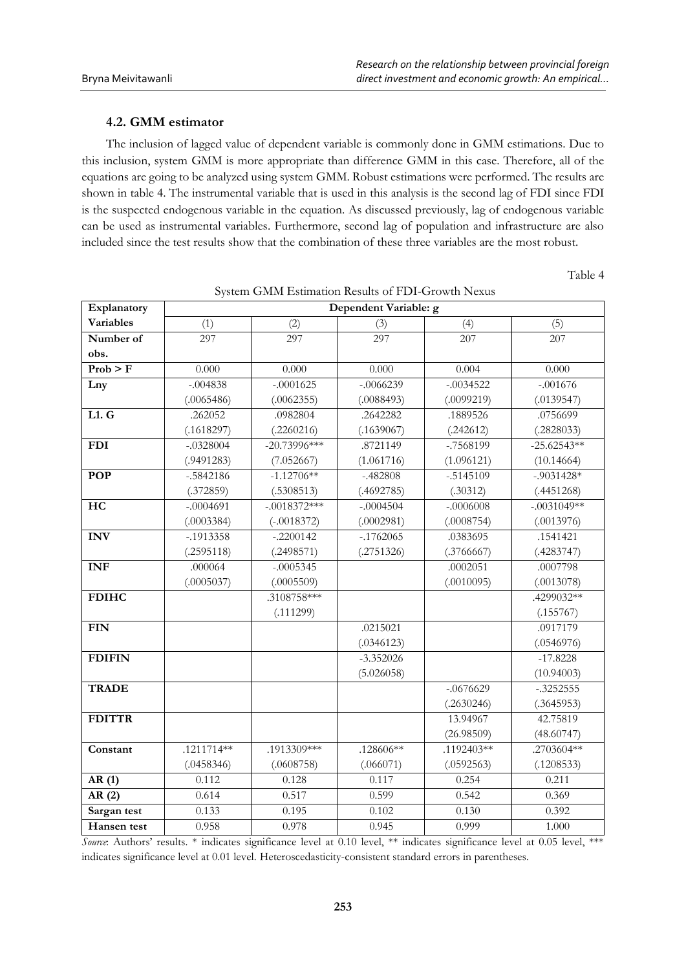# **4.2. GMM estimator**

The inclusion of lagged value of dependent variable is commonly done in GMM estimations. Due to this inclusion, system GMM is more appropriate than difference GMM in this case. Therefore, all of the equations are going to be analyzed using system GMM. Robust estimations were performed. The results are shown in table 4. The instrumental variable that is used in this analysis is the second lag of FDI since FDI is the suspected endogenous variable in the equation. As discussed previously, lag of endogenous variable can be used as instrumental variables. Furthermore, second lag of population and infrastructure are also included since the test results show that the combination of these three variables are the most robust.

Table 4

| Explanatory                  | Dependent Variable: g |                |              |                  |               |  |  |
|------------------------------|-----------------------|----------------|--------------|------------------|---------------|--|--|
| <b>Variables</b>             | (1)                   | (2)            | (3)          | (4)              | (5)           |  |  |
| Number of                    | 297                   | 297            | 297          | $20\overline{7}$ | 207           |  |  |
| obs.                         |                       |                |              |                  |               |  |  |
| $\overline{\text{Prob} > F}$ | 0.000                 | 0.000          | 0.000        | 0.004            | 0.000         |  |  |
| Lny                          | $-.004838$            | $-.0001625$    | $-.0066239$  | $-.0034522$      | $-.001676$    |  |  |
|                              | (.0065486)            | (.0062355)     | (.0088493)   | (.0099219)       | (.0139547)    |  |  |
| L1. G                        | .262052               | .0982804       | .2642282     | .1889526         | .0756699      |  |  |
|                              | (.1618297)            | (.2260216)     | (.1639067)   | (.242612)        | (.2828033)    |  |  |
| <b>FDI</b>                   | $-.0328004$           | $-20.73996***$ | .8721149     | -.7568199        | $-25.62543**$ |  |  |
|                              | (.9491283)            | (7.052667)     | (1.061716)   | (1.096121)       | (10.14664)    |  |  |
| <b>POP</b>                   | $-.5842186$           | $-1.12706**$   | $-.482808$   | $-.5145109$      | $-.9031428*$  |  |  |
|                              | (.372859)             | (.5308513)     | (.4692785)   | (.30312)         | (.4451268)    |  |  |
| HC                           | $-.0004691$           | $-.0018372***$ | $-.0004504$  | $-.0006008$      | $-.0031049**$ |  |  |
|                              | (.0003384)            | $(-.0018372)$  | (.0002981)   | (.0008754)       | (.0013976)    |  |  |
| <b>INV</b>                   | $-0.1913358$          | $-.2200142$    | $-0.1762065$ | .0383695         | .1541421      |  |  |
|                              | (.2595118)            | (.2498571)     | (.2751326)   | (.3766667)       | (.4283747)    |  |  |
| <b>INF</b>                   | .000064               | $-0.0005345$   |              | .0002051         | .0007798      |  |  |
|                              | (.0005037)            | (.0005509)     |              | (.0010095)       | (.0013078)    |  |  |
| <b>FDIHC</b>                 |                       | .3108758***    |              |                  | .4299032**    |  |  |
|                              |                       | (.111299)      |              |                  | (.155767)     |  |  |
| <b>FIN</b>                   |                       |                | .0215021     |                  | .0917179      |  |  |
|                              |                       |                | (.0346123)   |                  | (.0546976)    |  |  |
| <b>FDIFIN</b>                |                       |                | $-3.352026$  |                  | $-17.8228$    |  |  |
|                              |                       |                | (5.026058)   |                  | (10.94003)    |  |  |
| <b>TRADE</b>                 |                       |                |              | $-0676629$       | $-.3252555$   |  |  |
|                              |                       |                |              | (.2630246)       | (.3645953)    |  |  |
| <b>FDITTR</b>                |                       |                |              | 13.94967         | 42.75819      |  |  |
|                              |                       |                |              | (26.98509)       | (48.60747)    |  |  |
| Constant                     | .1211714**            | .1913309***    | $.128606**$  | $.1192403**$     | $.2703604**$  |  |  |
|                              | (.0458346)            | (.0608758)     | (.066071)    | (.0592563)       | (.1208533)    |  |  |
| AR(1)                        | 0.112                 | 0.128          | 0.117        | 0.254            | 0.211         |  |  |
| AR(2)                        | 0.614                 | 0.517          | 0.599        | 0.542            | 0.369         |  |  |
| Sargan test                  | 0.133                 | 0.195          | 0.102        | 0.130            | 0.392         |  |  |
| Hansen test                  | 0.958                 | 0.978          | 0.945        | 0.999            | 1.000         |  |  |

System GMM Estimation Results of FDI-Growth Nexus

*Source*: Authors' results. \* indicates significance level at 0.10 level, \*\* indicates significance level at 0.05 level, \*\*\* indicates significance level at 0.01 level. Heteroscedasticity-consistent standard errors in parentheses.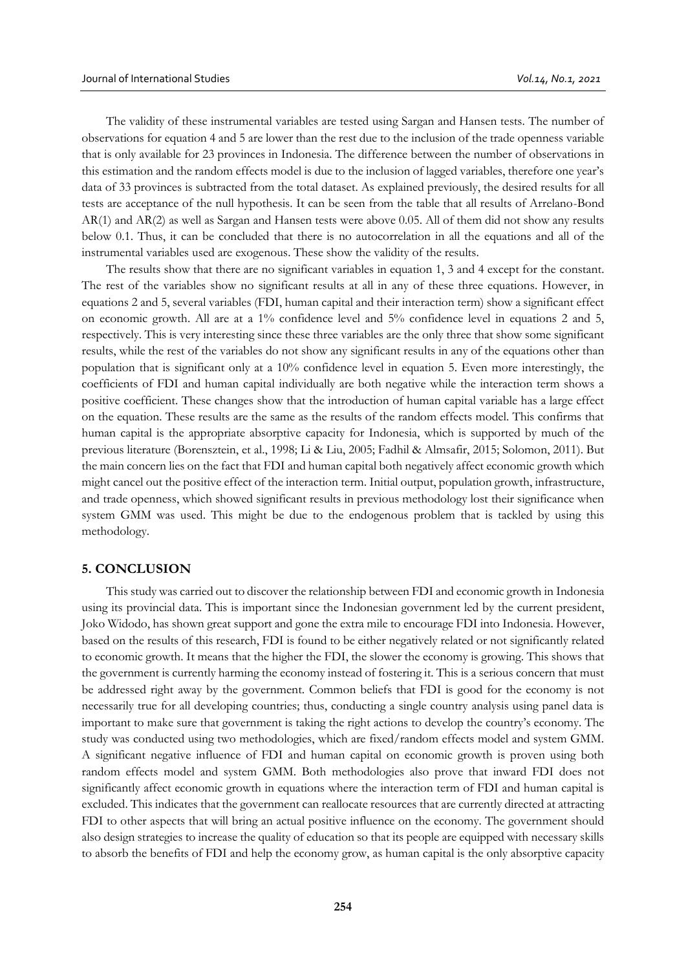The validity of these instrumental variables are tested using Sargan and Hansen tests. The number of observations for equation 4 and 5 are lower than the rest due to the inclusion of the trade openness variable that is only available for 23 provinces in Indonesia. The difference between the number of observations in this estimation and the random effects model is due to the inclusion of lagged variables, therefore one year's data of 33 provinces is subtracted from the total dataset. As explained previously, the desired results for all tests are acceptance of the null hypothesis. It can be seen from the table that all results of Arrelano-Bond AR(1) and AR(2) as well as Sargan and Hansen tests were above 0.05. All of them did not show any results below 0.1. Thus, it can be concluded that there is no autocorrelation in all the equations and all of the instrumental variables used are exogenous. These show the validity of the results.

The results show that there are no significant variables in equation 1, 3 and 4 except for the constant. The rest of the variables show no significant results at all in any of these three equations. However, in equations 2 and 5, several variables (FDI, human capital and their interaction term) show a significant effect on economic growth. All are at a  $1\%$  confidence level and  $5\%$  confidence level in equations 2 and 5, respectively. This is very interesting since these three variables are the only three that show some significant results, while the rest of the variables do not show any significant results in any of the equations other than population that is significant only at a 10% confidence level in equation 5. Even more interestingly, the coefficients of FDI and human capital individually are both negative while the interaction term shows a positive coefficient. These changes show that the introduction of human capital variable has a large effect on the equation. These results are the same as the results of the random effects model. This confirms that human capital is the appropriate absorptive capacity for Indonesia, which is supported by much of the previous literature (Borensztein, et al., 1998; Li & Liu, 2005; Fadhil & Almsafir, 2015; Solomon, 2011). But the main concern lies on the fact that FDI and human capital both negatively affect economic growth which might cancel out the positive effect of the interaction term. Initial output, population growth, infrastructure, and trade openness, which showed significant results in previous methodology lost their significance when system GMM was used. This might be due to the endogenous problem that is tackled by using this methodology.

#### **5. CONCLUSION**

This study was carried out to discover the relationship between FDI and economic growth in Indonesia using its provincial data. This is important since the Indonesian government led by the current president, Joko Widodo, has shown great support and gone the extra mile to encourage FDI into Indonesia. However, based on the results of this research, FDI is found to be either negatively related or not significantly related to economic growth. It means that the higher the FDI, the slower the economy is growing. This shows that the government is currently harming the economy instead of fostering it. This is a serious concern that must be addressed right away by the government. Common beliefs that FDI is good for the economy is not necessarily true for all developing countries; thus, conducting a single country analysis using panel data is important to make sure that government is taking the right actions to develop the country's economy. The study was conducted using two methodologies, which are fixed/random effects model and system GMM. A significant negative influence of FDI and human capital on economic growth is proven using both random effects model and system GMM. Both methodologies also prove that inward FDI does not significantly affect economic growth in equations where the interaction term of FDI and human capital is excluded. This indicates that the government can reallocate resources that are currently directed at attracting FDI to other aspects that will bring an actual positive influence on the economy. The government should also design strategies to increase the quality of education so that its people are equipped with necessary skills to absorb the benefits of FDI and help the economy grow, as human capital is the only absorptive capacity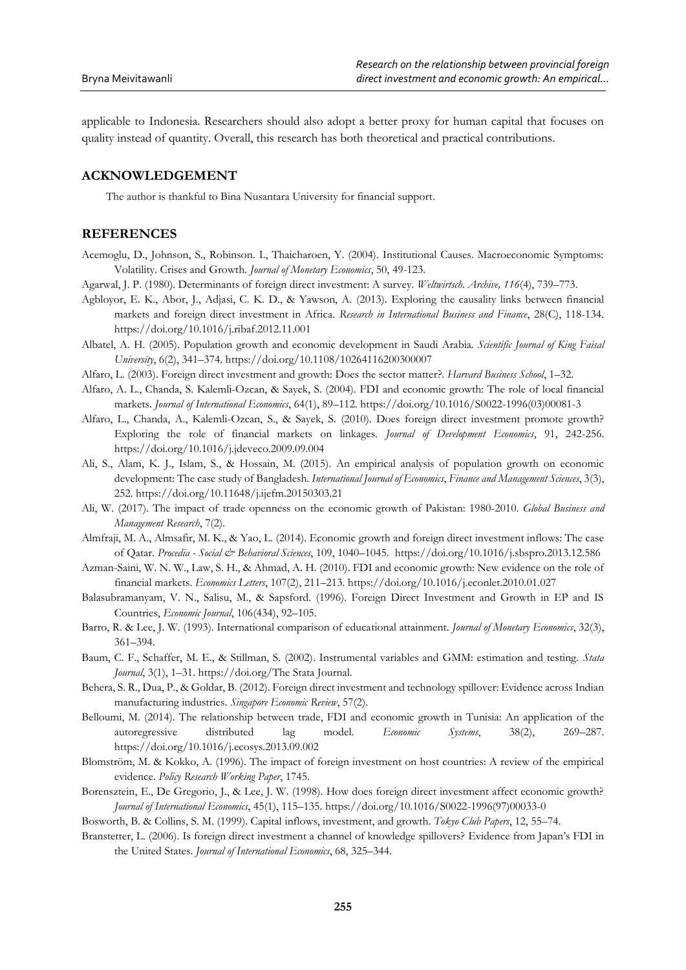applicable to Indonesia. Researchers should also adopt a better proxy for human capital that focuses on quality instead of quantity. Overall, this research has both theoretical and practical contributions.

# **ACKNOWLEDGEMENT**

The author is thankful to Bina Nusantara University for financial support.

# **REFERENCES**

- Acemoglu, D., Johnson, S., Robinson. I., Thaicharoen, Y. (2004). Institutional Causes. Macroeconomic Symptoms: Volatility. Crises and Growth. *Journal of Monetary Economics*, 50, 49-123.
- Agarwal, J. P. (1980). Determinants of foreign direct investment: A survey. *Weltwirtsch. Archive, 116*(4), 739–773.
- Agbloyor, E. K., Abor, J., Adjasi, C. K. D., & Yawson, A. (2013). Exploring the causality links between financial markets and foreign direct investment in Africa. *Research in International Business and Finance*, 28(C), 118-134. https://doi.org/10.1016/j.ribaf.2012.11.001
- Albatel, A. H. (2005). Population growth and economic development in Saudi Arabia*. Scientific Journal of King Faisal University*, 6(2), 341–374. https://doi.org/10.1108/10264116200300007
- Alfaro, L. (2003). Foreign direct investment and growth: Does the sector matter?. *Harvard Business School*, 1–32.
- Alfaro, A. L., Chanda, S. Kalemli-Ozcan, & Sayek, S. (2004). FDI and economic growth: The role of local financial markets. *Journal of International Economics*, 64(1), 89–112. https://doi.org/10.1016/S0022-1996(03)00081-3
- Alfaro, L., Chanda, A., Kalemli-Ozcan, S., & Sayek, S. (2010). Does foreign direct investment promote growth? Exploring the role of financial markets on linkages. *Journal of Development Economics*, 91, 242-256. https://doi.org/10.1016/j.jdeveco.2009.09.004
- Ali, S., Alam, K. J., Islam, S., & Hossain, M. (2015). An empirical analysis of population growth on economic development: The case study of Bangladesh. *International Journal of Economics*, *Finance and Management Sciences*, 3(3), 252. https://doi.org/10.11648/j.ijefm.20150303.21
- Ali, W. (2017). The impact of trade openness on the economic growth of Pakistan: 1980-2010. *Global Business and Management Research*, 7(2).
- Almfraji, M. A., Almsafir, M. K., & Yao, L. (2014). Economic growth and foreign direct investment inflows: The case of Qatar. *Procedia - Social & Behavioral Sciences*, 109, 1040–1045. https://doi.org/10.1016/j.sbspro.2013.12.586
- Azman-Saini, W. N. W., Law, S. H., & Ahmad, A. H. (2010). FDI and economic growth: New evidence on the role of financial markets. *Economics Letters*, 107(2), 211–213. https://doi.org/10.1016/j.econlet.2010.01.027
- Balasubramanyam, V. N., Salisu, M., & Sapsford. (1996). Foreign Direct Investment and Growth in EP and IS Countries, *Economic Journal*, 106(434), 92–105.
- Barro, R. & Lee, J. W. (1993). International comparison of educational attainment. *Journal of Monetary Economics*, 32(3), 361–394.
- Baum, C. F., Schaffer, M. E., & Stillman, S. (2002). Instrumental variables and GMM: estimation and testing. *Stata Journal*, 3(1), 1–31. https://doi.org/The Stata Journal.
- Behera, S. R., Dua, P., & Goldar, B. (2012). Foreign direct investment and technology spillover: Evidence across Indian manufacturing industries. *Singapore Economic Review*, 57(2).
- Belloumi, M. (2014). The relationship between trade, FDI and economic growth in Tunisia: An application of the autoregressive distributed lag model. *Economic Systems*, 38(2), 269–287. https://doi.org/10.1016/j.ecosys.2013.09.002
- Blomström, M. & Kokko, A. (1996). The impact of foreign investment on host countries: A review of the empirical evidence. *Policy Research Working Paper*, 1745.
- Borensztein, E., De Gregorio, J., & Lee, J. W. (1998). How does foreign direct investment affect economic growth? *Journal of International Economics*, 45(1), 115–135. https://doi.org/10.1016/S0022-1996(97)00033-0
- Bosworth, B. & Collins, S. M. (1999). Capital inflows, investment, and growth. *Tokyo Club Papers*, 12, 55–74.
- Branstetter, L. (2006). Is foreign direct investment a channel of knowledge spillovers? Evidence from Japan's FDI in the United States. *Journal of International Economics*, 68, 325–344.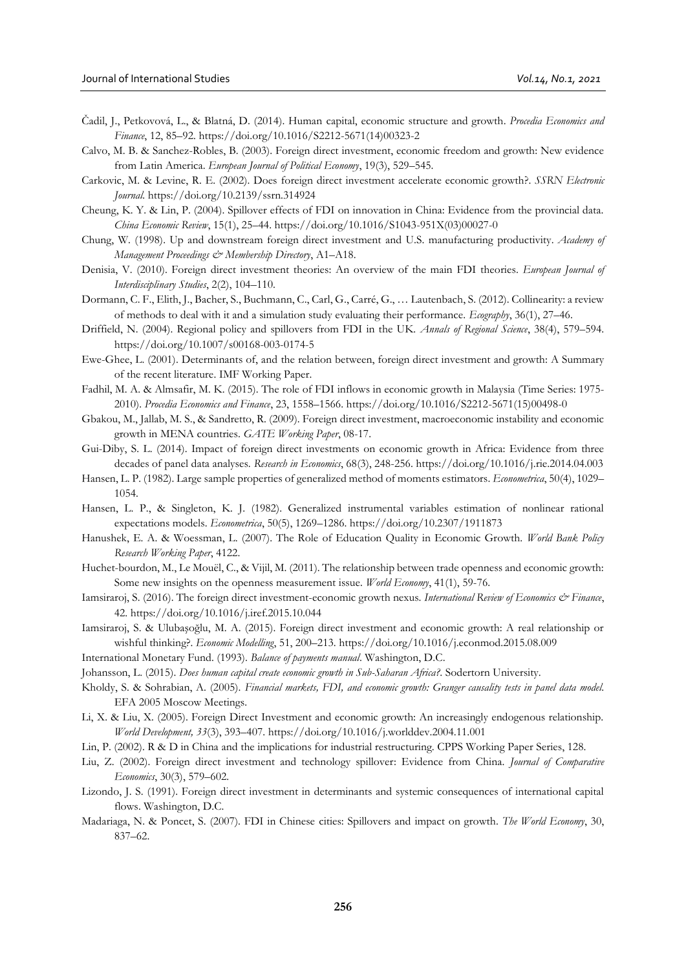- Čadil, J., Petkovová, L., & Blatná, D. (2014). Human capital, economic structure and growth. *Procedia Economics and Finance*, 12, 85–92. https://doi.org/10.1016/S2212-5671(14)00323-2
- Calvo, M. B. & Sanchez-Robles, B. (2003). Foreign direct investment, economic freedom and growth: New evidence from Latin America. *European Journal of Political Economy*, 19(3), 529–545.
- Carkovic, M. & Levine, R. E. (2002). Does foreign direct investment accelerate economic growth?. *SSRN Electronic Journal*. https://doi.org/10.2139/ssrn.314924
- Cheung, K. Y. & Lin, P. (2004). Spillover effects of FDI on innovation in China: Evidence from the provincial data. *China Economic Review*, 15(1), 25–44. https://doi.org/10.1016/S1043-951X(03)00027-0
- Chung, W. (1998). Up and downstream foreign direct investment and U.S. manufacturing productivity. *Academy of Management Proceedings & Membership Directory*, A1–A18.
- Denisia, V. (2010). Foreign direct investment theories: An overview of the main FDI theories. *European Journal of Interdisciplinary Studies*, 2(2), 104–110.
- Dormann, C. F., Elith, J., Bacher, S., Buchmann, C., Carl, G., Carré, G., … Lautenbach, S. (2012). Collinearity: a review of methods to deal with it and a simulation study evaluating their performance. *Ecography*, 36(1), 27–46.
- Driffield, N. (2004). Regional policy and spillovers from FDI in the UK. *Annals of Regional Science*, 38(4), 579–594. https://doi.org/10.1007/s00168-003-0174-5
- Ewe-Ghee, L. (2001). Determinants of, and the relation between, foreign direct investment and growth: A Summary of the recent literature. IMF Working Paper.
- Fadhil, M. A. & Almsafir, M. K. (2015). The role of FDI inflows in economic growth in Malaysia (Time Series: 1975- 2010). *Procedia Economics and Finance*, 23, 1558–1566. https://doi.org/10.1016/S2212-5671(15)00498-0
- Gbakou, M., Jallab, M. S., & Sandretto, R. (2009). Foreign direct investment, macroeconomic instability and economic growth in MENA countries. *GATE Working Paper*, 08-17.
- Gui-Diby, S. L. (2014). Impact of foreign direct investments on economic growth in Africa: Evidence from three decades of panel data analyses. *Research in Economics*, 68(3), 248-256. https://doi.org/10.1016/j.rie.2014.04.003
- Hansen, L. P. (1982). Large sample properties of generalized method of moments estimators. *Econometrica*, 50(4), 1029– 1054.
- Hansen, L. P., & Singleton, K. J. (1982). Generalized instrumental variables estimation of nonlinear rational expectations models. *Econometrica*, 50(5), 1269–1286. https://doi.org/10.2307/1911873
- Hanushek, E. A. & Woessman, L. (2007). The Role of Education Quality in Economic Growth. *World Bank Policy Research Working Paper*, 4122.
- Huchet-bourdon, M., Le Mouël, C., & Vijil, M. (2011). The relationship between trade openness and economic growth: Some new insights on the openness measurement issue*. World Economy*, 41(1), 59-76.
- Iamsiraroj, S. (2016). The foreign direct investment-economic growth nexus. *International Review of Economics & Finance*, 42. https://doi.org/10.1016/j.iref.2015.10.044
- Iamsiraroj, S. & Ulubaşoğlu, M. A. (2015). Foreign direct investment and economic growth: A real relationship or wishful thinking?. *Economic Modelling*, 51, 200–213. https://doi.org/10.1016/j.econmod.2015.08.009
- International Monetary Fund. (1993). *Balance of payments manual*. Washington, D.C.
- Johansson, L. (2015). *Does human capital create economic growth in Sub-Saharan Africa?*. Sodertorn University.
- Kholdy, S. & Sohrabian, A. (2005). *Financial markets, FDI, and economic growth: Granger causality tests in panel data model*. EFA 2005 Moscow Meetings.
- Li, X. & Liu, X. (2005). Foreign Direct Investment and economic growth: An increasingly endogenous relationship. *World Development, 33*(3), 393–407. https://doi.org/10.1016/j.worlddev.2004.11.001
- Lin, P. (2002). R & D in China and the implications for industrial restructuring. CPPS Working Paper Series, 128.
- Liu, Z. (2002). Foreign direct investment and technology spillover: Evidence from China. *Journal of Comparative Economics*, 30(3), 579–602.
- Lizondo, J. S. (1991). Foreign direct investment in determinants and systemic consequences of international capital flows. Washington, D.C.
- Madariaga, N. & Poncet, S. (2007). FDI in Chinese cities: Spillovers and impact on growth. *The World Economy*, 30, 837–62.